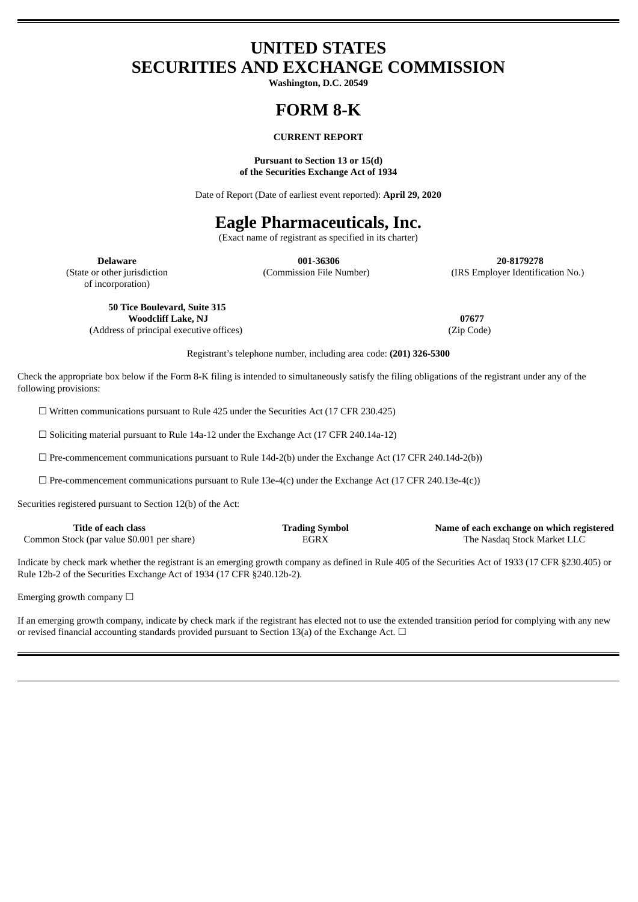# **UNITED STATES SECURITIES AND EXCHANGE COMMISSION**

**Washington, D.C. 20549**

# **FORM 8-K**

# **CURRENT REPORT**

### **Pursuant to Section 13 or 15(d) of the Securities Exchange Act of 1934**

Date of Report (Date of earliest event reported): **April 29, 2020**

# **Eagle Pharmaceuticals, Inc.**

(Exact name of registrant as specified in its charter)

of incorporation)

**Delaware 001-36306 20-8179278** (State or other jurisdiction (Commission File Number) (IRS Employer Identification No.)

**50 Tice Boulevard, Suite 315 Woodcliff Lake, NJ 07677** (Address of principal executive offices) (Zip Code)

Registrant's telephone number, including area code: **(201) 326-5300**

Check the appropriate box below if the Form 8-K filing is intended to simultaneously satisfy the filing obligations of the registrant under any of the following provisions:

☐ Written communications pursuant to Rule 425 under the Securities Act (17 CFR 230.425)

☐ Soliciting material pursuant to Rule 14a-12 under the Exchange Act (17 CFR 240.14a-12)

 $\square$  Pre-commencement communications pursuant to Rule 14d-2(b) under the Exchange Act (17 CFR 240.14d-2(b))

 $\Box$  Pre-commencement communications pursuant to Rule 13e-4(c) under the Exchange Act (17 CFR 240.13e-4(c))

Securities registered pursuant to Section 12(b) of the Act:

| Title of each class                        | <b>Trading Symbol</b> | Name of each exchange on which registered |
|--------------------------------------------|-----------------------|-------------------------------------------|
| Common Stock (par value \$0.001 per share) | EGRX                  | The Nasdaq Stock Market LLC               |

Indicate by check mark whether the registrant is an emerging growth company as defined in Rule 405 of the Securities Act of 1933 (17 CFR §230.405) or Rule 12b-2 of the Securities Exchange Act of 1934 (17 CFR §240.12b-2).

Emerging growth company  $\Box$ 

If an emerging growth company, indicate by check mark if the registrant has elected not to use the extended transition period for complying with any new or revised financial accounting standards provided pursuant to Section 13(a) of the Exchange Act.  $\Box$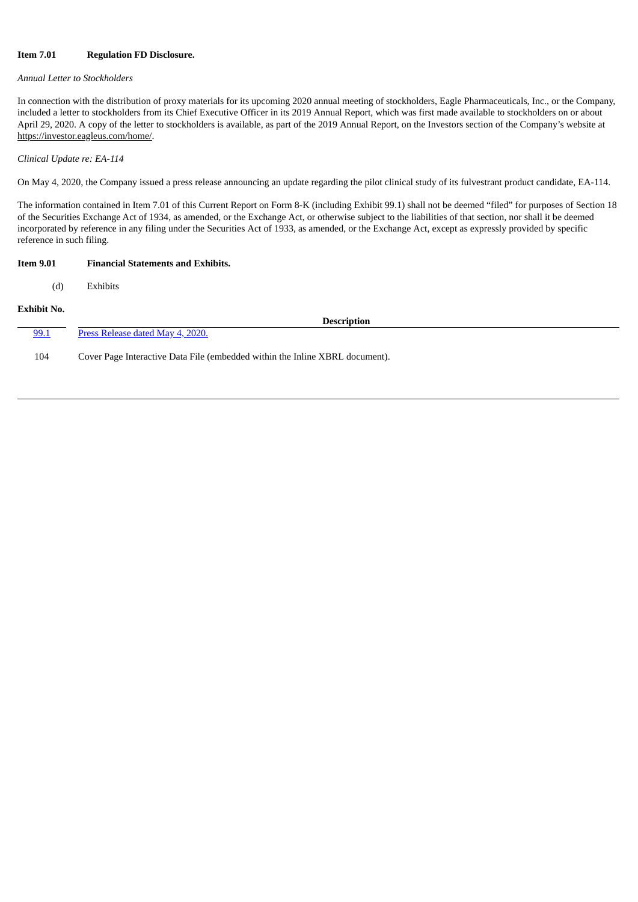# **Item 7.01 Regulation FD Disclosure.**

# *Annual Letter to Stockholders*

In connection with the distribution of proxy materials for its upcoming 2020 annual meeting of stockholders, Eagle Pharmaceuticals, Inc., or the Company, included a letter to stockholders from its Chief Executive Officer in its 2019 Annual Report, which was first made available to stockholders on or about April 29, 2020. A copy of the letter to stockholders is available, as part of the 2019 Annual Report, on the Investors section of the Company's website at https://investor.eagleus.com/home/.

*Clinical Update re: EA-114*

On May 4, 2020, the Company issued a press release announcing an update regarding the pilot clinical study of its fulvestrant product candidate, EA-114.

The information contained in Item 7.01 of this Current Report on Form 8-K (including Exhibit 99.1) shall not be deemed "filed" for purposes of Section 18 of the Securities Exchange Act of 1934, as amended, or the Exchange Act, or otherwise subject to the liabilities of that section, nor shall it be deemed incorporated by reference in any filing under the Securities Act of 1933, as amended, or the Exchange Act, except as expressly provided by specific reference in such filing.

| <b>Item 9.01</b>   | <b>Financial Statements and Exhibits.</b>                                    |
|--------------------|------------------------------------------------------------------------------|
| (d)                | Exhibits                                                                     |
| <b>Exhibit No.</b> | <b>Description</b>                                                           |
| 99.1               | Press Release dated May 4, 2020.                                             |
| 104                | Cover Page Interactive Data File (embedded within the Inline XBRL document). |
|                    |                                                                              |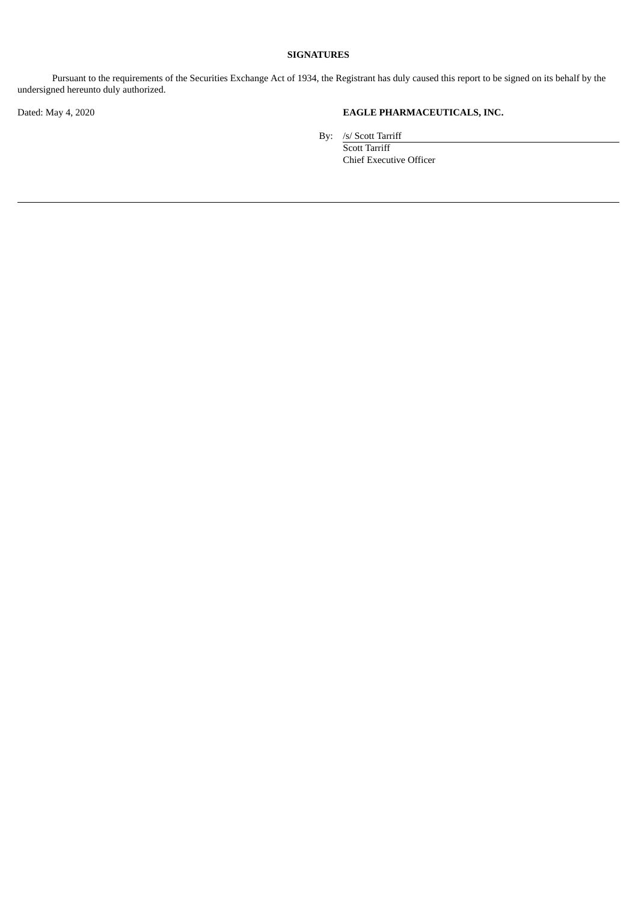# **SIGNATURES**

Pursuant to the requirements of the Securities Exchange Act of 1934, the Registrant has duly caused this report to be signed on its behalf by the undersigned hereunto duly authorized.

# Dated: May 4, 2020 **EAGLE PHARMACEUTICALS, INC.**

By: /s/ Scott Tarriff

Scott Tarriff Chief Executive Officer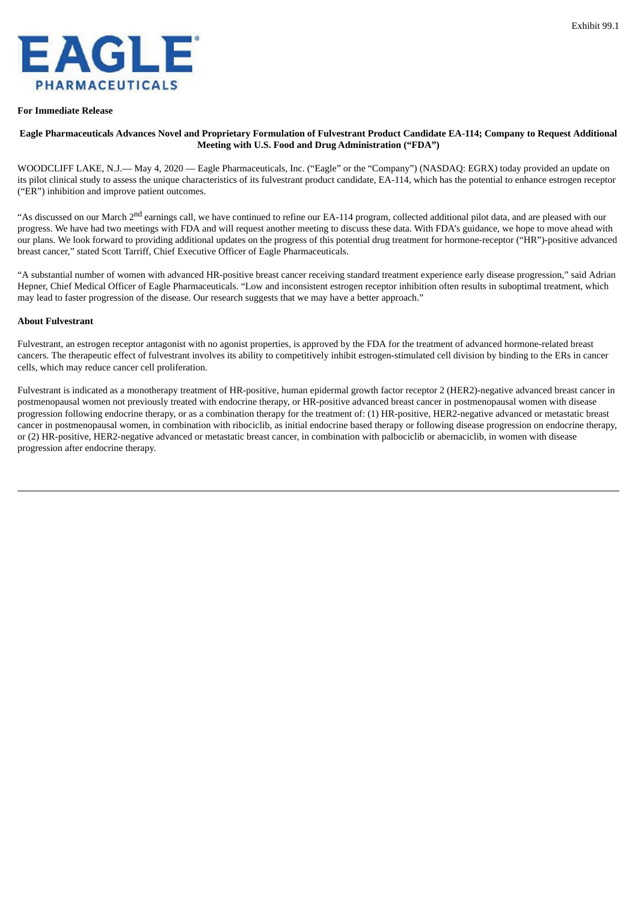<span id="page-3-0"></span>

#### **For Immediate Release**

## Eagle Pharmaceuticals Advances Novel and Proprietary Formulation of Fulvestrant Product Candidate EA-114; Company to Request Additional **Meeting with U.S. Food and Drug Administration ("FDA")**

WOODCLIFF LAKE, N.J.— May 4, 2020 — Eagle Pharmaceuticals, Inc. ("Eagle" or the "Company") (NASDAQ: EGRX) today provided an update on its pilot clinical study to assess the unique characteristics of its fulvestrant product candidate, EA-114, which has the potential to enhance estrogen receptor ("ER") inhibition and improve patient outcomes.

"As discussed on our March 2<sup>nd</sup> earnings call, we have continued to refine our EA-114 program, collected additional pilot data, and are pleased with our progress. We have had two meetings with FDA and will request another meeting to discuss these data. With FDA's guidance, we hope to move ahead with our plans. We look forward to providing additional updates on the progress of this potential drug treatment for hormone-receptor ("HR")-positive advanced breast cancer," stated Scott Tarriff, Chief Executive Officer of Eagle Pharmaceuticals.

"A substantial number of women with advanced HR-positive breast cancer receiving standard treatment experience early disease progression," said Adrian Hepner, Chief Medical Officer of Eagle Pharmaceuticals. "Low and inconsistent estrogen receptor inhibition often results in suboptimal treatment, which may lead to faster progression of the disease. Our research suggests that we may have a better approach."

#### **About Fulvestrant**

Fulvestrant, an estrogen receptor antagonist with no agonist properties, is approved by the FDA for the treatment of advanced hormone-related breast cancers. The therapeutic effect of fulvestrant involves its ability to competitively inhibit estrogen-stimulated cell division by binding to the ERs in cancer cells, which may reduce cancer cell proliferation.

Fulvestrant is indicated as a monotherapy treatment of HR-positive, human epidermal growth factor receptor 2 (HER2)-negative advanced breast cancer in postmenopausal women not previously treated with endocrine therapy, or HR-positive advanced breast cancer in postmenopausal women with disease progression following endocrine therapy, or as a combination therapy for the treatment of: (1) HR-positive, HER2-negative advanced or metastatic breast cancer in postmenopausal women, in combination with ribociclib, as initial endocrine based therapy or following disease progression on endocrine therapy, or (2) HR-positive, HER2-negative advanced or metastatic breast cancer, in combination with palbociclib or abemaciclib, in women with disease progression after endocrine therapy.